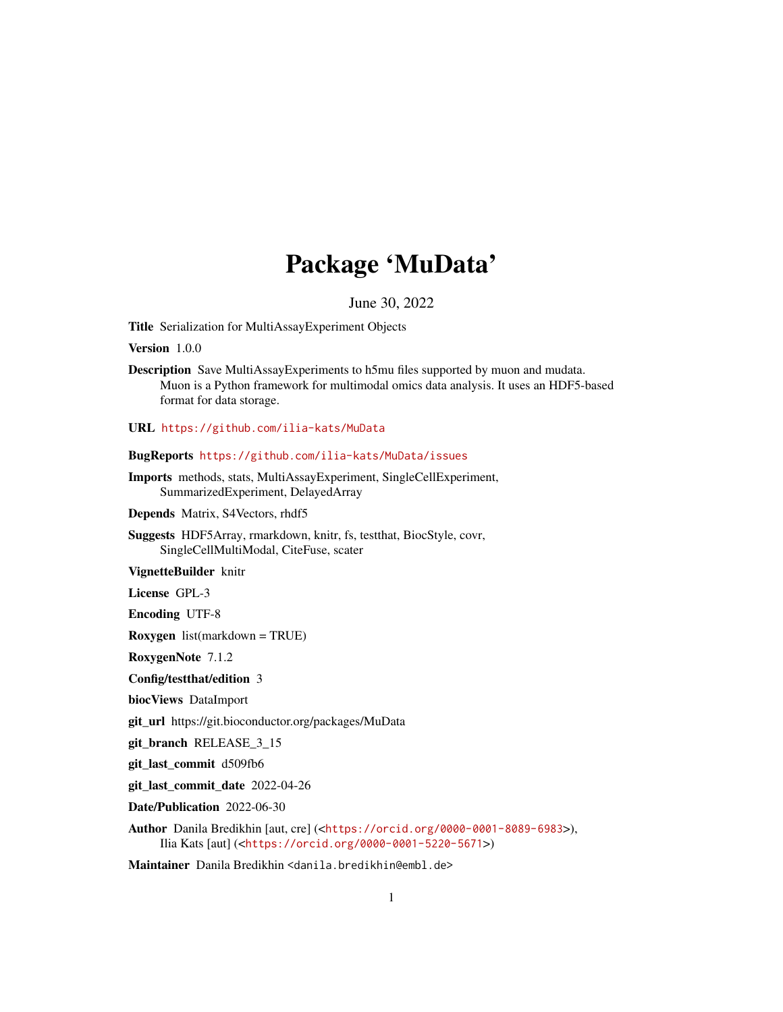## Package 'MuData'

June 30, 2022

<span id="page-0-0"></span>Title Serialization for MultiAssayExperiment Objects

Version 1.0.0

Description Save MultiAssayExperiments to h5mu files supported by muon and mudata. Muon is a Python framework for multimodal omics data analysis. It uses an HDF5-based format for data storage.

URL <https://github.com/ilia-kats/MuData>

BugReports <https://github.com/ilia-kats/MuData/issues>

Imports methods, stats, MultiAssayExperiment, SingleCellExperiment, SummarizedExperiment, DelayedArray

Depends Matrix, S4Vectors, rhdf5

Suggests HDF5Array, rmarkdown, knitr, fs, testthat, BiocStyle, covr, SingleCellMultiModal, CiteFuse, scater

VignetteBuilder knitr

License GPL-3

Encoding UTF-8

Roxygen list(markdown = TRUE)

RoxygenNote 7.1.2

Config/testthat/edition 3

biocViews DataImport

git\_url https://git.bioconductor.org/packages/MuData

git\_branch RELEASE\_3\_15

git\_last\_commit d509fb6

git\_last\_commit\_date 2022-04-26

Date/Publication 2022-06-30

Author Danila Bredikhin [aut, cre] (<<https://orcid.org/0000-0001-8089-6983>>), Ilia Kats [aut] (<<https://orcid.org/0000-0001-5220-5671>>)

Maintainer Danila Bredikhin <danila.bredikhin@embl.de>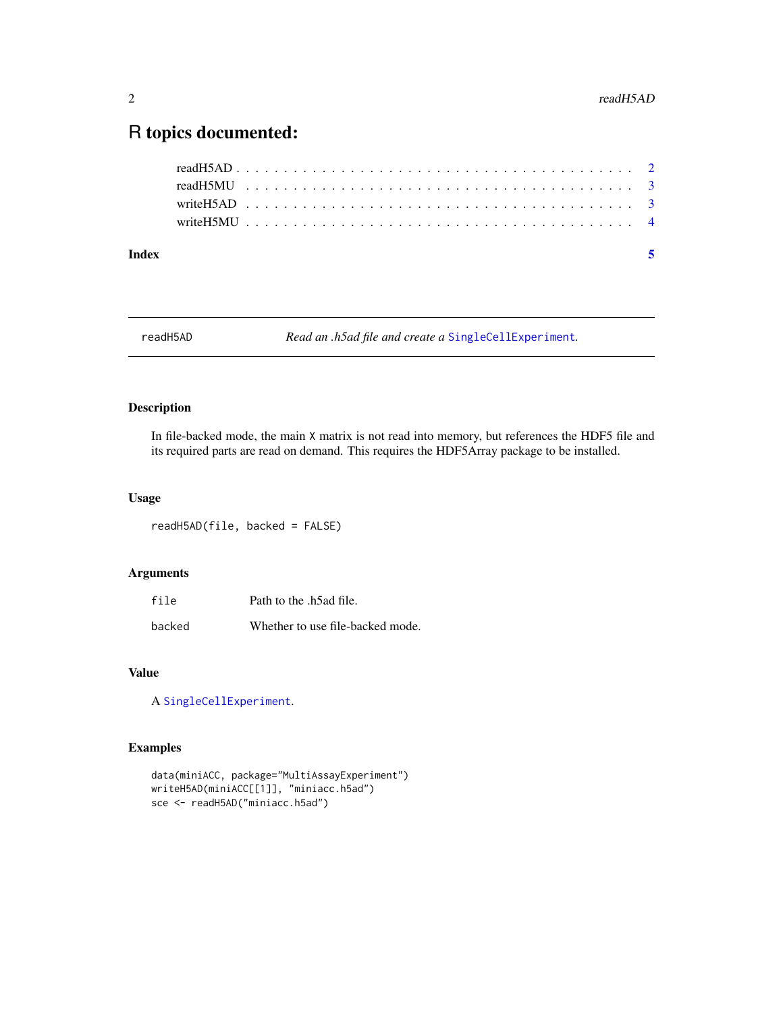### <span id="page-1-0"></span>R topics documented:

| Index |  |  |  |  |  |  |  |  |  |  |  |  |  |  |  |  |  |  |  |  |  | - 5 |  |
|-------|--|--|--|--|--|--|--|--|--|--|--|--|--|--|--|--|--|--|--|--|--|-----|--|
|       |  |  |  |  |  |  |  |  |  |  |  |  |  |  |  |  |  |  |  |  |  |     |  |
|       |  |  |  |  |  |  |  |  |  |  |  |  |  |  |  |  |  |  |  |  |  |     |  |
|       |  |  |  |  |  |  |  |  |  |  |  |  |  |  |  |  |  |  |  |  |  |     |  |
|       |  |  |  |  |  |  |  |  |  |  |  |  |  |  |  |  |  |  |  |  |  |     |  |

readH5AD *Read an .h5ad file and create a* [SingleCellExperiment](#page-0-0)*.*

#### Description

In file-backed mode, the main X matrix is not read into memory, but references the HDF5 file and its required parts are read on demand. This requires the HDF5Array package to be installed.

#### Usage

readH5AD(file, backed = FALSE)

#### Arguments

| file   | Path to the .h5ad file.          |
|--------|----------------------------------|
| backed | Whether to use file-backed mode. |

#### Value

A [SingleCellExperiment](#page-0-0).

#### Examples

```
data(miniACC, package="MultiAssayExperiment")
writeH5AD(miniACC[[1]], "miniacc.h5ad")
sce <- readH5AD("miniacc.h5ad")
```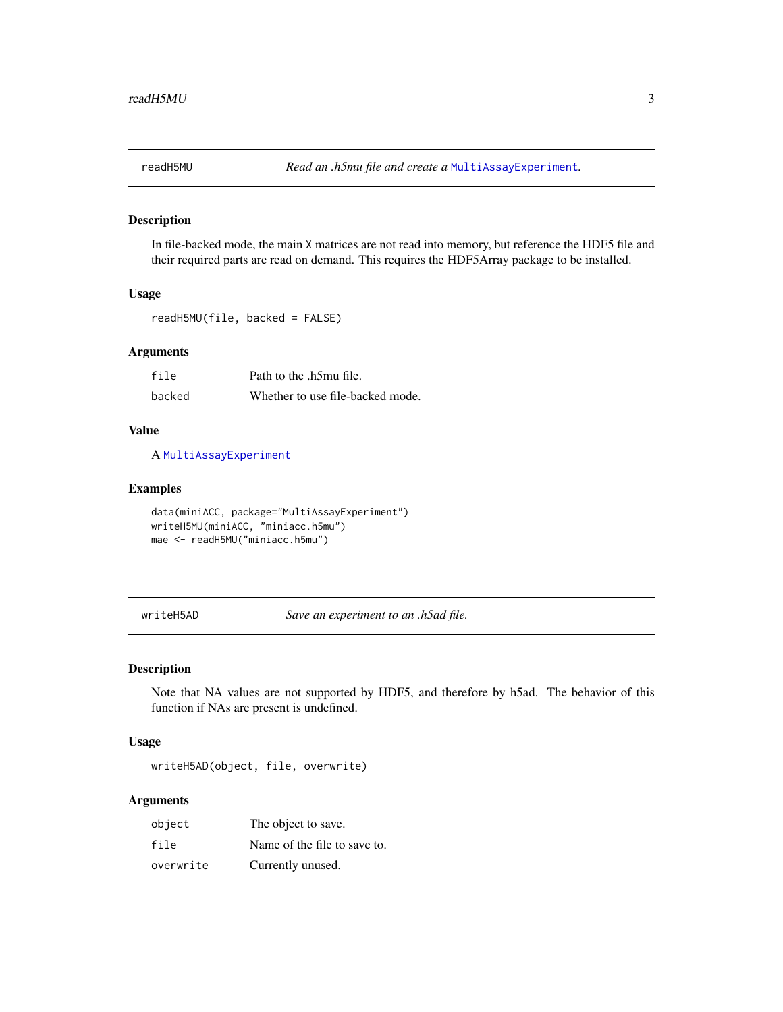<span id="page-2-0"></span>

#### Description

In file-backed mode, the main X matrices are not read into memory, but reference the HDF5 file and their required parts are read on demand. This requires the HDF5Array package to be installed.

#### Usage

```
readH5MU(file, backed = FALSE)
```
#### Arguments

| file   | Path to the .h5mu file.          |
|--------|----------------------------------|
| backed | Whether to use file-backed mode. |

#### Value

A [MultiAssayExperiment](#page-0-0)

#### Examples

```
data(miniACC, package="MultiAssayExperiment")
writeH5MU(miniACC, "miniacc.h5mu")
mae <- readH5MU("miniacc.h5mu")
```
writeH5AD *Save an experiment to an .h5ad file.*

#### Description

Note that NA values are not supported by HDF5, and therefore by h5ad. The behavior of this function if NAs are present is undefined.

#### Usage

writeH5AD(object, file, overwrite)

#### Arguments

| object    | The object to save.          |
|-----------|------------------------------|
| file      | Name of the file to save to. |
| overwrite | Currently unused.            |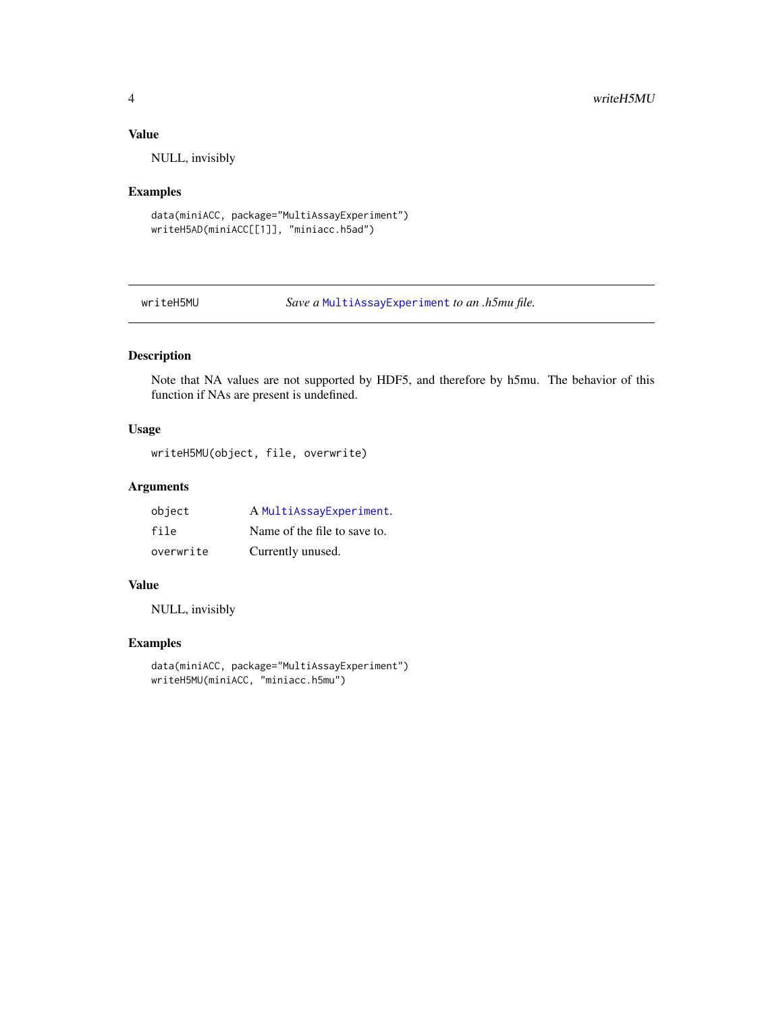#### <span id="page-3-0"></span>Value

NULL, invisibly

#### Examples

```
data(miniACC, package="MultiAssayExperiment")
writeH5AD(miniACC[[1]], "miniacc.h5ad")
```
writeH5MU *Save a* [MultiAssayExperiment](#page-0-0) *to an .h5mu file.*

#### Description

Note that NA values are not supported by HDF5, and therefore by h5mu. The behavior of this function if NAs are present is undefined.

#### Usage

writeH5MU(object, file, overwrite)

#### Arguments

| object    | A MultiAssayExperiment.      |
|-----------|------------------------------|
| file      | Name of the file to save to. |
| overwrite | Currently unused.            |

#### Value

NULL, invisibly

#### Examples

data(miniACC, package="MultiAssayExperiment") writeH5MU(miniACC, "miniacc.h5mu")